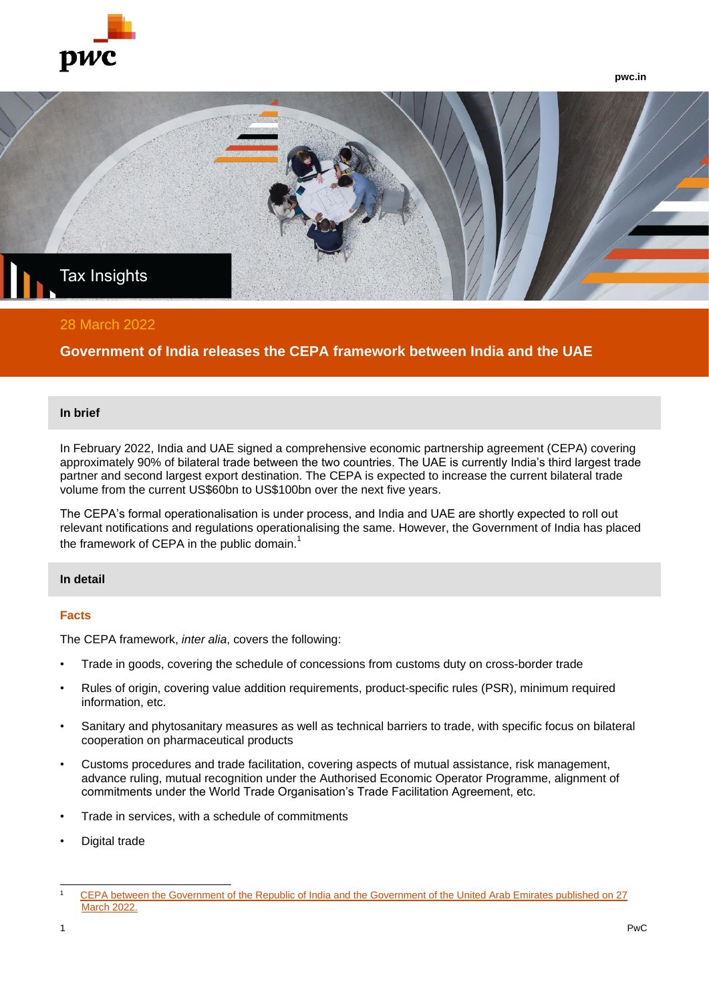

**pwc.in**



## 28 March 2022

# **Government of India releases the CEPA framework between India and the UAE**

#### **In brief**

In February 2022, India and UAE signed a comprehensive economic partnership agreement (CEPA) covering approximately 90% of bilateral trade between the two countries. The UAE is currently India's third largest trade partner and second largest export destination. The CEPA is expected to increase the current bilateral trade volume from the current US\$60bn to US\$100bn over the next five years.

The CEPA's formal operationalisation is under process, and India and UAE are shortly expected to roll out relevant notifications and regulations operationalising the same. However, the Government of India has placed the framework of CEPA in the public domain.<sup>1</sup>

### **In detail**

#### **Facts**

The CEPA framework, *inter alia*, covers the following:

- Trade in goods, covering the schedule of concessions from customs duty on cross-border trade
- Rules of origin, covering value addition requirements, product-specific rules (PSR), minimum required information, etc.
- Sanitary and phytosanitary measures as well as technical barriers to trade, with specific focus on bilateral cooperation on pharmaceutical products
- Customs procedures and trade facilitation, covering aspects of mutual assistance, risk management, advance ruling, mutual recognition under the Authorised Economic Operator Programme, alignment of commitments under the World Trade Organisation's Trade Facilitation Agreement, etc.
- Trade in services, with a schedule of commitments
- Digital trade

<sup>1</sup> [CEPA between the Government of the Republic of India and the Government of the United Arab Emirates published on 27](https://commerce.gov.in/international-trade/trade-agreements/comprehensive-economic-partnership-agreement-between-the-government-of-the-republic-of-india-and-the-government-of-the-united-arab-emirates-uae/)  [March 2022.](https://commerce.gov.in/international-trade/trade-agreements/comprehensive-economic-partnership-agreement-between-the-government-of-the-republic-of-india-and-the-government-of-the-united-arab-emirates-uae/)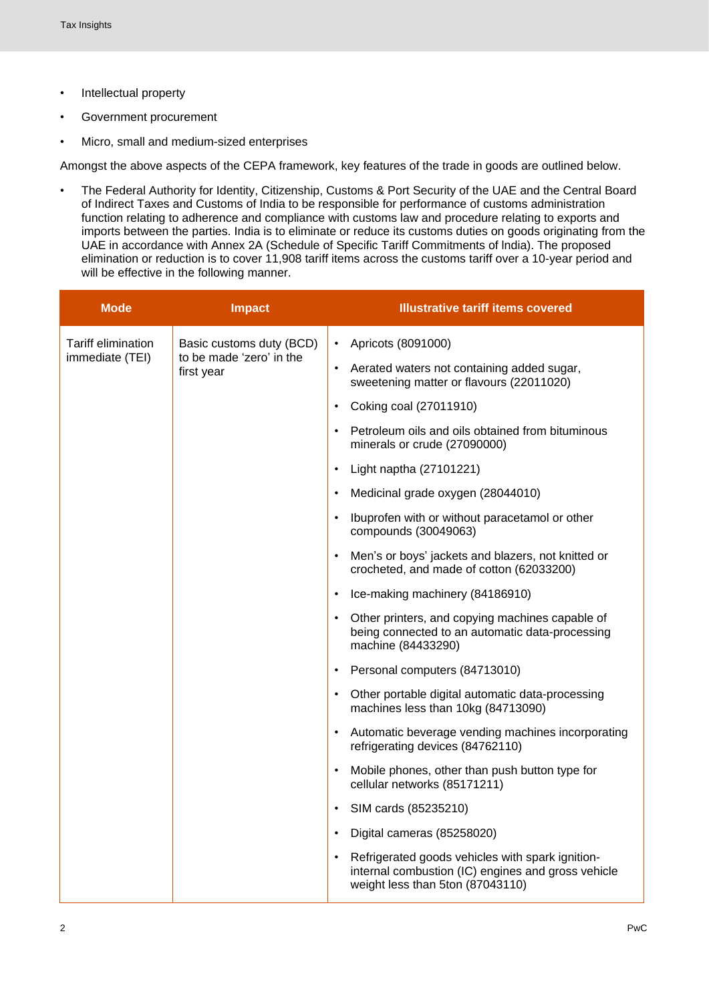- Intellectual property
- Government procurement
- Micro, small and medium-sized enterprises

Amongst the above aspects of the CEPA framework, key features of the trade in goods are outlined below.

• The Federal Authority for Identity, Citizenship, Customs & Port Security of the UAE and the Central Board of Indirect Taxes and Customs of India to be responsible for performance of customs administration function relating to adherence and compliance with customs law and procedure relating to exports and imports between the parties. India is to eliminate or reduce its customs duties on goods originating from the UAE in accordance with Annex 2A (Schedule of Specific Tariff Commitments of lndia). The proposed elimination or reduction is to cover 11,908 tariff items across the customs tariff over a 10-year period and will be effective in the following manner.

| <b>Mode</b>                           | <b>Impact</b>                                                                                                                                    | <b>Illustrative tariff items covered</b>                                                                                                     |
|---------------------------------------|--------------------------------------------------------------------------------------------------------------------------------------------------|----------------------------------------------------------------------------------------------------------------------------------------------|
| Tariff elimination<br>immediate (TEI) | Basic customs duty (BCD)<br>to be made 'zero' in the<br>first year<br>$\bullet$<br>$\bullet$<br>$\bullet$<br>$\bullet$<br>$\bullet$<br>$\bullet$ | • Apricots (8091000)                                                                                                                         |
|                                       |                                                                                                                                                  | • Aerated waters not containing added sugar,<br>sweetening matter or flavours (22011020)                                                     |
|                                       |                                                                                                                                                  | Coking coal (27011910)                                                                                                                       |
|                                       |                                                                                                                                                  | • Petroleum oils and oils obtained from bituminous<br>minerals or crude (27090000)                                                           |
|                                       |                                                                                                                                                  | Light naptha (27101221)                                                                                                                      |
|                                       |                                                                                                                                                  | • Medicinal grade oxygen (28044010)                                                                                                          |
|                                       |                                                                                                                                                  | Ibuprofen with or without paracetamol or other<br>compounds (30049063)                                                                       |
|                                       |                                                                                                                                                  | Men's or boys' jackets and blazers, not knitted or<br>crocheted, and made of cotton (62033200)                                               |
|                                       |                                                                                                                                                  | Ice-making machinery (84186910)                                                                                                              |
|                                       |                                                                                                                                                  | • Other printers, and copying machines capable of<br>being connected to an automatic data-processing<br>machine (84433290)                   |
|                                       |                                                                                                                                                  | Personal computers (84713010)                                                                                                                |
|                                       |                                                                                                                                                  | • Other portable digital automatic data-processing<br>machines less than 10kg (84713090)                                                     |
|                                       |                                                                                                                                                  | • Automatic beverage vending machines incorporating<br>refrigerating devices (84762110)                                                      |
|                                       |                                                                                                                                                  | Mobile phones, other than push button type for<br>cellular networks (85171211)                                                               |
|                                       |                                                                                                                                                  | SIM cards (85235210)                                                                                                                         |
|                                       |                                                                                                                                                  | Digital cameras (85258020)                                                                                                                   |
|                                       |                                                                                                                                                  | • Refrigerated goods vehicles with spark ignition-<br>internal combustion (IC) engines and gross vehicle<br>weight less than 5ton (87043110) |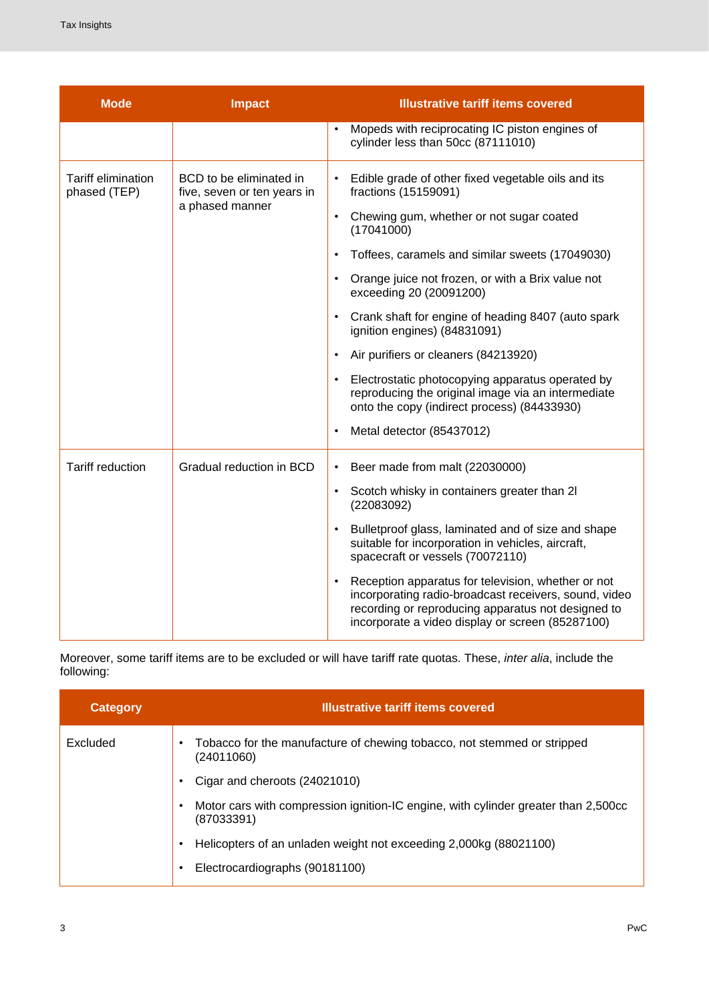| <b>Mode</b>                        | <b>Impact</b>                                                             | <b>Illustrative tariff items covered</b>                                                                                                                                                                              |
|------------------------------------|---------------------------------------------------------------------------|-----------------------------------------------------------------------------------------------------------------------------------------------------------------------------------------------------------------------|
|                                    |                                                                           | Mopeds with reciprocating IC piston engines of<br>cylinder less than 50cc (87111010)                                                                                                                                  |
| Tariff elimination<br>phased (TEP) | BCD to be eliminated in<br>five, seven or ten years in<br>a phased manner | Edible grade of other fixed vegetable oils and its<br>fractions (15159091)                                                                                                                                            |
|                                    |                                                                           | Chewing gum, whether or not sugar coated<br>(17041000)                                                                                                                                                                |
|                                    |                                                                           | Toffees, caramels and similar sweets (17049030)                                                                                                                                                                       |
|                                    |                                                                           | Orange juice not frozen, or with a Brix value not<br>$\bullet$<br>exceeding 20 (20091200)                                                                                                                             |
|                                    |                                                                           | Crank shaft for engine of heading 8407 (auto spark<br>ignition engines) (84831091)                                                                                                                                    |
|                                    |                                                                           | Air purifiers or cleaners (84213920)<br>$\bullet$                                                                                                                                                                     |
|                                    |                                                                           | Electrostatic photocopying apparatus operated by<br>reproducing the original image via an intermediate<br>onto the copy (indirect process) (84433930)                                                                 |
|                                    |                                                                           | Metal detector (85437012)                                                                                                                                                                                             |
| <b>Tariff reduction</b>            | Gradual reduction in BCD<br>$\bullet$<br>$\bullet$<br>$\bullet$           | Beer made from malt (22030000)                                                                                                                                                                                        |
|                                    |                                                                           | Scotch whisky in containers greater than 2I<br>(22083092)                                                                                                                                                             |
|                                    |                                                                           | Bulletproof glass, laminated and of size and shape<br>suitable for incorporation in vehicles, aircraft,<br>spacecraft or vessels (70072110)                                                                           |
|                                    |                                                                           | Reception apparatus for television, whether or not<br>incorporating radio-broadcast receivers, sound, video<br>recording or reproducing apparatus not designed to<br>incorporate a video display or screen (85287100) |

Moreover, some tariff items are to be excluded or will have tariff rate quotas. These, *inter alia*, include the following:

| <b>Category</b> | <b>Illustrative tariff items covered</b>                                                                      |
|-----------------|---------------------------------------------------------------------------------------------------------------|
| Excluded        | Tobacco for the manufacture of chewing tobacco, not stemmed or stripped<br>$\bullet$<br>(24011060)            |
|                 | Cigar and cheroots (24021010)<br>٠                                                                            |
|                 | Motor cars with compression ignition-IC engine, with cylinder greater than 2,500cc<br>$\bullet$<br>(87033391) |
|                 | Helicopters of an unladen weight not exceeding 2,000kg (88021100)<br>$\bullet$                                |
|                 | Electrocardiographs (90181100)<br>$\bullet$                                                                   |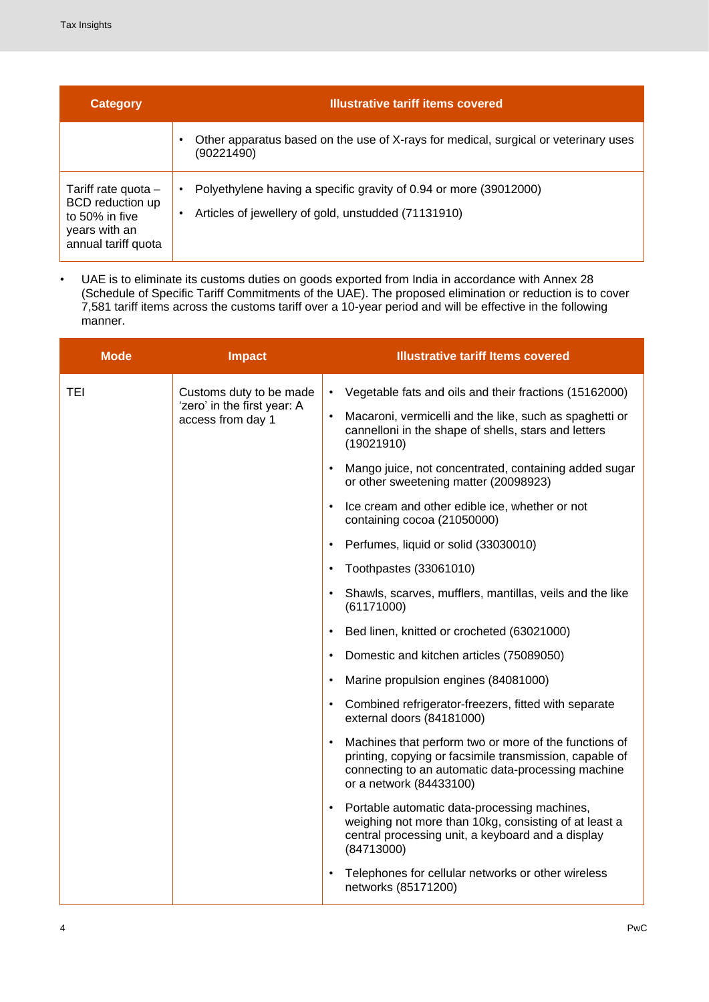| <b>Category</b>                                                                                     | <b>Illustrative tariff items covered</b>                                                                                           |
|-----------------------------------------------------------------------------------------------------|------------------------------------------------------------------------------------------------------------------------------------|
|                                                                                                     | Other apparatus based on the use of X-rays for medical, surgical or veterinary uses<br>٠<br>(90221490)                             |
| Tariff rate quota $-$<br>BCD reduction up<br>to 50% in five<br>years with an<br>annual tariff quota | Polyethylene having a specific gravity of 0.94 or more (39012000)<br>٠<br>Articles of jewellery of gold, unstudded (71131910)<br>٠ |

• UAE is to eliminate its customs duties on goods exported from India in accordance with Annex 28 (Schedule of Specific Tariff Commitments of the UAE). The proposed elimination or reduction is to cover 7,581 tariff items across the customs tariff over a 10-year period and will be effective in the following manner.

| <b>Mode</b> | <b>Impact</b>                                                              |           | <b>Illustrative tariff Items covered</b>                                                                                                                                                          |
|-------------|----------------------------------------------------------------------------|-----------|---------------------------------------------------------------------------------------------------------------------------------------------------------------------------------------------------|
| <b>TEI</b>  | Customs duty to be made                                                    | $\bullet$ | Vegetable fats and oils and their fractions (15162000)                                                                                                                                            |
|             | 'zero' in the first year: A<br>$\bullet$<br>access from day 1<br>$\bullet$ |           | Macaroni, vermicelli and the like, such as spaghetti or<br>cannelloni in the shape of shells, stars and letters<br>(19021910)                                                                     |
|             |                                                                            |           | Mango juice, not concentrated, containing added sugar<br>or other sweetening matter (20098923)                                                                                                    |
|             |                                                                            |           | Ice cream and other edible ice, whether or not<br>containing cocoa (21050000)                                                                                                                     |
|             |                                                                            |           | Perfumes, liquid or solid (33030010)                                                                                                                                                              |
|             |                                                                            |           | Toothpastes (33061010)                                                                                                                                                                            |
|             |                                                                            |           | Shawls, scarves, mufflers, mantillas, veils and the like<br>(61171000)                                                                                                                            |
|             |                                                                            |           | Bed linen, knitted or crocheted (63021000)                                                                                                                                                        |
|             |                                                                            |           | Domestic and kitchen articles (75089050)                                                                                                                                                          |
|             |                                                                            |           | Marine propulsion engines (84081000)                                                                                                                                                              |
|             |                                                                            |           | Combined refrigerator-freezers, fitted with separate<br>external doors (84181000)                                                                                                                 |
|             |                                                                            |           | Machines that perform two or more of the functions of<br>printing, copying or facsimile transmission, capable of<br>connecting to an automatic data-processing machine<br>or a network (84433100) |
|             |                                                                            |           | Portable automatic data-processing machines,<br>weighing not more than 10kg, consisting of at least a<br>central processing unit, a keyboard and a display<br>(84713000)                          |
|             |                                                                            |           | Telephones for cellular networks or other wireless<br>networks (85171200)                                                                                                                         |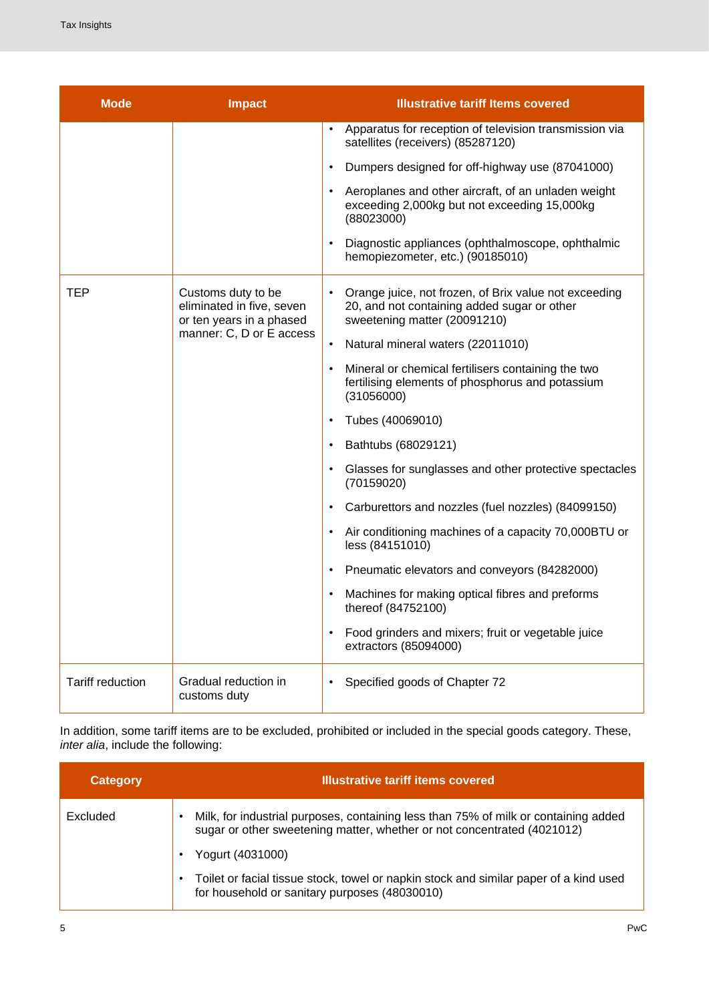| <b>Mode</b>      | <b>Impact</b>                                                                                           | <b>Illustrative tariff Items covered</b>                                                                                                          |
|------------------|---------------------------------------------------------------------------------------------------------|---------------------------------------------------------------------------------------------------------------------------------------------------|
|                  |                                                                                                         | Apparatus for reception of television transmission via<br>$\bullet$<br>satellites (receivers) (85287120)                                          |
|                  |                                                                                                         | Dumpers designed for off-highway use (87041000)<br>$\bullet$                                                                                      |
|                  |                                                                                                         | Aeroplanes and other aircraft, of an unladen weight<br>$\bullet$<br>exceeding 2,000kg but not exceeding 15,000kg<br>(88023000)                    |
|                  |                                                                                                         | Diagnostic appliances (ophthalmoscope, ophthalmic<br>$\bullet$<br>hemopiezometer, etc.) (90185010)                                                |
| <b>TEP</b>       | Customs duty to be<br>eliminated in five, seven<br>or ten years in a phased<br>manner: C, D or E access | Orange juice, not frozen, of Brix value not exceeding<br>$\bullet$<br>20, and not containing added sugar or other<br>sweetening matter (20091210) |
|                  |                                                                                                         | Natural mineral waters (22011010)<br>$\bullet$                                                                                                    |
|                  |                                                                                                         | Mineral or chemical fertilisers containing the two<br>$\bullet$<br>fertilising elements of phosphorus and potassium<br>(31056000)                 |
|                  |                                                                                                         | Tubes (40069010)<br>$\bullet$                                                                                                                     |
|                  |                                                                                                         | Bathtubs (68029121)<br>$\bullet$                                                                                                                  |
|                  |                                                                                                         | Glasses for sunglasses and other protective spectacles<br>٠<br>(70159020)                                                                         |
|                  |                                                                                                         | Carburettors and nozzles (fuel nozzles) (84099150)<br>$\bullet$                                                                                   |
|                  |                                                                                                         | Air conditioning machines of a capacity 70,000BTU or<br>$\bullet$<br>less (84151010)                                                              |
|                  |                                                                                                         | Pneumatic elevators and conveyors (84282000)<br>$\bullet$                                                                                         |
|                  |                                                                                                         | Machines for making optical fibres and preforms<br>$\bullet$<br>thereof (84752100)                                                                |
|                  |                                                                                                         | Food grinders and mixers; fruit or vegetable juice<br>$\bullet$<br>extractors (85094000)                                                          |
| Tariff reduction | Gradual reduction in<br>customs duty                                                                    | Specified goods of Chapter 72<br>$\bullet$                                                                                                        |

In addition, some tariff items are to be excluded, prohibited or included in the special goods category. These, *inter alia*, include the following:

| <b>Category</b> | <b>Illustrative tariff items covered</b>                                                                                                                            |
|-----------------|---------------------------------------------------------------------------------------------------------------------------------------------------------------------|
| Excluded        | Milk, for industrial purposes, containing less than 75% of milk or containing added<br>٠<br>sugar or other sweetening matter, whether or not concentrated (4021012) |
|                 | Yogurt (4031000)                                                                                                                                                    |
|                 | Toilet or facial tissue stock, towel or napkin stock and similar paper of a kind used<br>$\bullet$<br>for household or sanitary purposes (48030010)                 |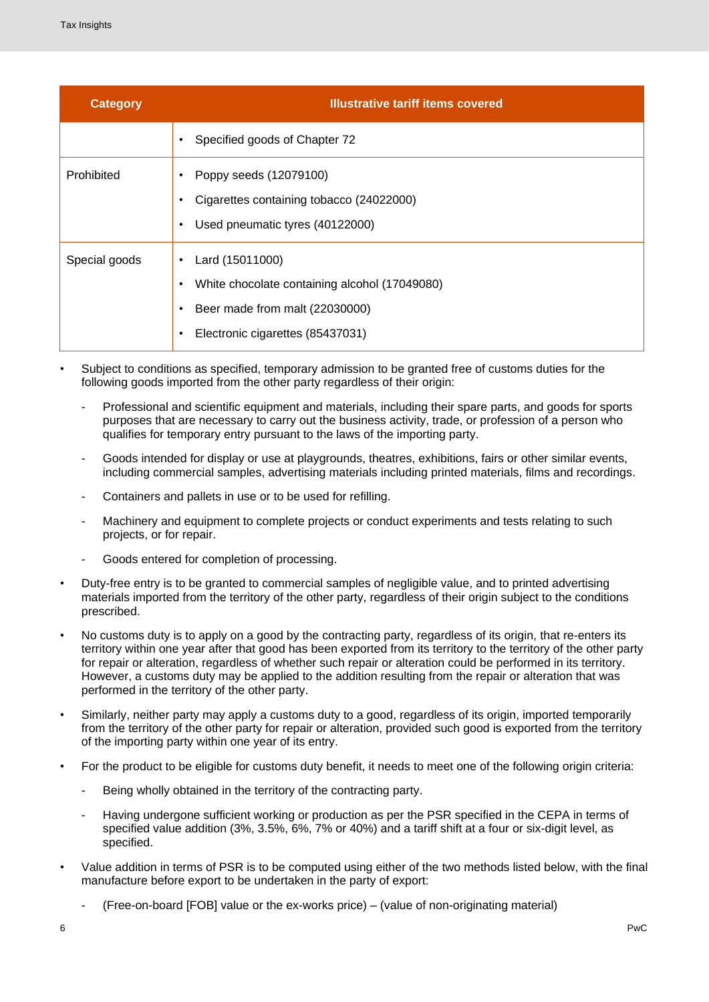| <b>Category</b> | <b>Illustrative tariff items covered</b>                                                                                                                                   |
|-----------------|----------------------------------------------------------------------------------------------------------------------------------------------------------------------------|
|                 | Specified goods of Chapter 72<br>$\bullet$                                                                                                                                 |
| Prohibited      | Poppy seeds (12079100)<br>٠<br>Cigarettes containing tobacco (24022000)<br>٠<br>Used pneumatic tyres (40122000)<br>$\bullet$                                               |
| Special goods   | Lard (15011000)<br>$\bullet$<br>White chocolate containing alcohol (17049080)<br>٠<br>Beer made from malt (22030000)<br>$\bullet$<br>Electronic cigarettes (85437031)<br>٠ |

- Subject to conditions as specified, temporary admission to be granted free of customs duties for the following goods imported from the other party regardless of their origin:
	- Professional and scientific equipment and materials, including their spare parts, and goods for sports purposes that are necessary to carry out the business activity, trade, or profession of a person who qualifies for temporary entry pursuant to the laws of the importing party.
	- Goods intended for display or use at playgrounds, theatres, exhibitions, fairs or other similar events, including commercial samples, advertising materials including printed materials, films and recordings.
	- Containers and pallets in use or to be used for refilling.
	- Machinery and equipment to complete projects or conduct experiments and tests relating to such projects, or for repair.
	- Goods entered for completion of processing.
- Duty-free entry is to be granted to commercial samples of negligible value, and to printed advertising materials imported from the territory of the other party, regardless of their origin subject to the conditions prescribed.
- No customs duty is to apply on a good by the contracting party, regardless of its origin, that re-enters its territory within one year after that good has been exported from its territory to the territory of the other party for repair or alteration, regardless of whether such repair or alteration could be performed in its territory. However, a customs duty may be applied to the addition resulting from the repair or alteration that was performed in the territory of the other party.
- Similarly, neither party may apply a customs duty to a good, regardless of its origin, imported temporarily from the territory of the other party for repair or alteration, provided such good is exported from the territory of the importing party within one year of its entry.
- For the product to be eligible for customs duty benefit, it needs to meet one of the following origin criteria:
	- Being wholly obtained in the territory of the contracting party.
	- Having undergone sufficient working or production as per the PSR specified in the CEPA in terms of specified value addition (3%, 3.5%, 6%, 7% or 40%) and a tariff shift at a four or six-digit level, as specified.
- Value addition in terms of PSR is to be computed using either of the two methods listed below, with the final manufacture before export to be undertaken in the party of export:
	- (Free-on-board [FOB] value or the ex-works price) (value of non-originating material)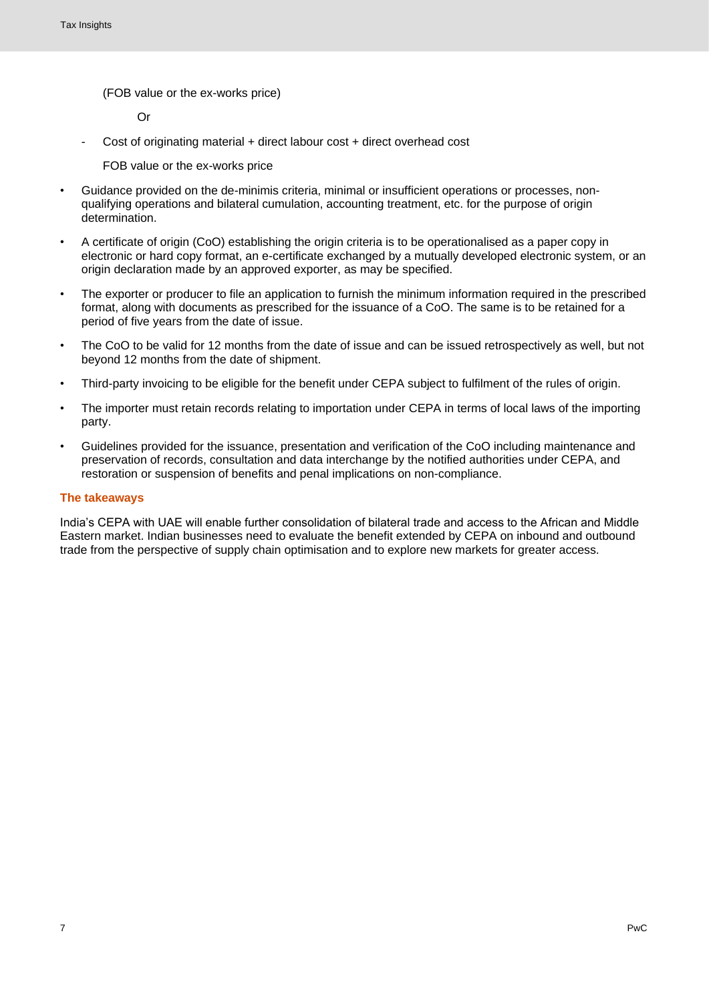(FOB value or the ex-works price)

Or

- Cost of originating material + direct labour cost + direct overhead cost

FOB value or the ex-works price

- Guidance provided on the de-minimis criteria, minimal or insufficient operations or processes, nonqualifying operations and bilateral cumulation, accounting treatment, etc. for the purpose of origin determination.
- A certificate of origin (CoO) establishing the origin criteria is to be operationalised as a paper copy in electronic or hard copy format, an e-certificate exchanged by a mutually developed electronic system, or an origin declaration made by an approved exporter, as may be specified.
- The exporter or producer to file an application to furnish the minimum information required in the prescribed format, along with documents as prescribed for the issuance of a CoO. The same is to be retained for a period of five years from the date of issue.
- The CoO to be valid for 12 months from the date of issue and can be issued retrospectively as well, but not beyond 12 months from the date of shipment.
- Third-party invoicing to be eligible for the benefit under CEPA subject to fulfilment of the rules of origin.
- The importer must retain records relating to importation under CEPA in terms of local laws of the importing party.
- Guidelines provided for the issuance, presentation and verification of the CoO including maintenance and preservation of records, consultation and data interchange by the notified authorities under CEPA, and restoration or suspension of benefits and penal implications on non-compliance.

#### **The takeaways**

India's CEPA with UAE will enable further consolidation of bilateral trade and access to the African and Middle Eastern market. Indian businesses need to evaluate the benefit extended by CEPA on inbound and outbound trade from the perspective of supply chain optimisation and to explore new markets for greater access.